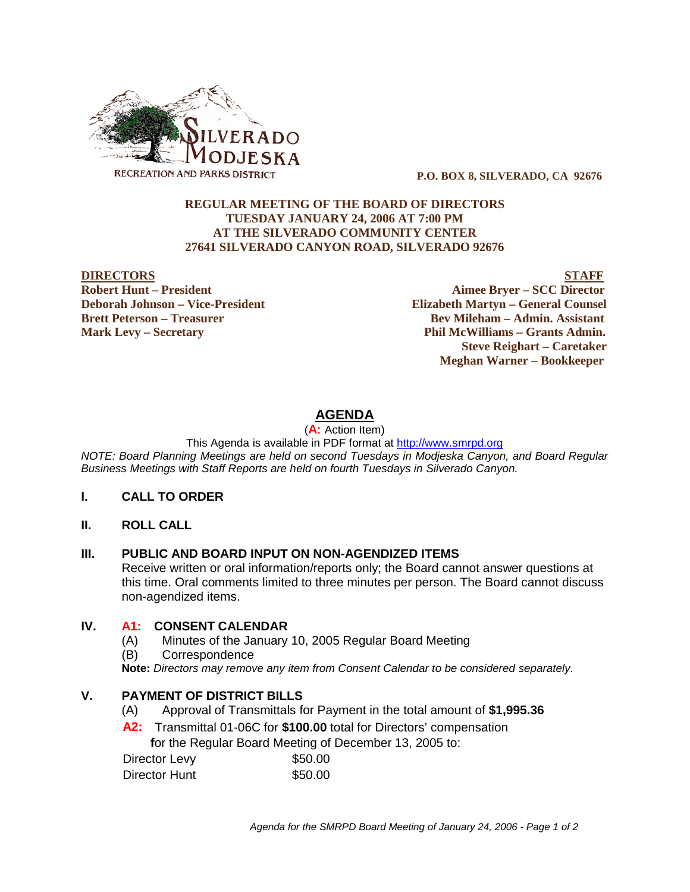

 **P.O. BOX 8, SILVERADO, CA 92676**

### **REGULAR MEETING OF THE BOARD OF DIRECTORS TUESDAY JANUARY 24, 2006 AT 7:00 PM AT THE SILVERADO COMMUNITY CENTER 27641 SILVERADO CANYON ROAD, SILVERADO 92676**

**DIRECTORS STAFF Robert Hunt – President Aimee Bryer – SCC Director Deborah Johnson – Vice-President Elizabeth Martyn – General Counsel Brett Peterson – Treasurer Serverson – Bev Mileham – Admin. Assistant Mark Levy – Secretary Phil McWilliams – Grants Admin. Steve Reighart – Caretaker Meghan Warner – Bookkeeper**

# **AGENDA**

(**A:** Action Item)

This Agenda is available in PDF format at http://www.smrpd.org

*NOTE: Board Planning Meetings are held on second Tuesdays in Modjeska Canyon, and Board Regular Business Meetings with Staff Reports are held on fourth Tuesdays in Silverado Canyon.*

#### **I. CALL TO ORDER**

**II. ROLL CALL**

## **III. PUBLIC AND BOARD INPUT ON NON-AGENDIZED ITEMS**

Receive written or oral information/reports only; the Board cannot answer questions at this time. Oral comments limited to three minutes per person. The Board cannot discuss non-agendized items.

## **IV. A1:CONSENT CALENDAR**

- (A) Minutes of the January 10, 2005 Regular Board Meeting
- (B) Correspondence

**Note:** *Directors may remove any item from Consent Calendar to be considered separately.*

## **V. PAYMENT OF DISTRICT BILLS**

- (A) Approval of Transmittals for Payment in the total amount of **\$1,995.36**
- **A2:**Transmittal 01-06C for **\$100.00** total for Directors' compensation  **f**or the Regular Board Meeting of December 13, 2005 to:

| Director Levy | \$50.00 |
|---------------|---------|
| Director Hunt | \$50.00 |